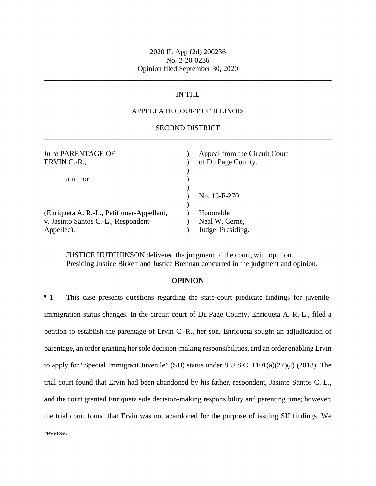\_\_\_\_\_\_\_\_\_\_\_\_\_\_\_\_\_\_\_\_\_\_\_\_\_\_\_\_\_\_\_\_\_\_\_\_\_\_\_\_\_\_\_\_\_\_\_\_\_\_\_\_\_\_\_\_\_\_\_\_\_\_\_\_\_\_\_\_\_\_\_\_\_\_\_\_\_\_

# IN THE

## APPELLATE COURT OF ILLINOIS

### \_\_\_\_\_\_\_\_\_\_\_\_\_\_\_\_\_\_\_\_\_\_\_\_\_\_\_\_\_\_\_\_\_\_\_\_\_\_\_\_\_\_\_\_\_\_\_\_\_\_\_\_\_\_\_\_\_\_\_\_\_\_\_\_\_\_\_\_\_\_\_\_\_\_\_\_\_\_ SECOND DISTRICT

| <i>In re</i> PARENTAGE OF<br>ERVIN C.-R.,                                                        | Appeal from the Circuit Court<br>of Du Page County. |
|--------------------------------------------------------------------------------------------------|-----------------------------------------------------|
| a minor                                                                                          |                                                     |
|                                                                                                  | No. 19-F-270                                        |
| (Enriqueta A. R.-L., Petitioner-Appellant,<br>v. Jasinto Santos C.-L., Respondent-<br>Appellee). | Honorable<br>Neal W. Cerne,<br>Judge, Presiding.    |

JUSTICE HUTCHINSON delivered the judgment of the court, with opinion. Presiding Justice Birkett and Justice Brennan concurred in the judgment and opinion.

#### **OPINION**

 immigration status changes. In the circuit court of Du Page County, Enriqueta A. R.-L., filed a parentage, an order granting her sole decision-making responsibilities, and an order enabling Ervin to apply for "Special Immigrant Juvenile" (SIJ) status under 8 U.S.C. 1101(a)(27)(J) (2018). The ¶ 1 This case presents questions regarding the state-court predicate findings for juvenilepetition to establish the parentage of Ervin C.-R., her son. Enriqueta sought an adjudication of trial court found that Ervin had been abandoned by his father, respondent, Jasinto Santos C.-L., and the court granted Enriqueta sole decision-making responsibility and parenting time; however, the trial court found that Ervin was not abandoned for the purpose of issuing SIJ findings. We reverse.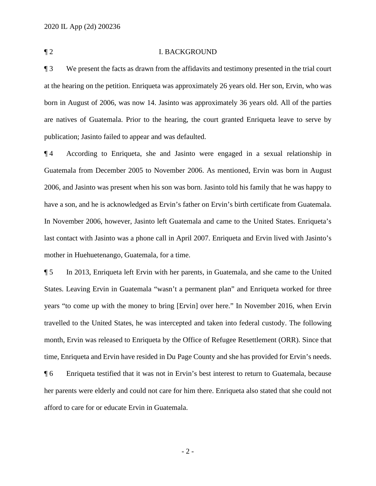#### ¶ 2 I. BACKGROUND

 at the hearing on the petition. Enriqueta was approximately 26 years old. Her son, Ervin, who was born in August of 2006, was now 14. Jasinto was approximately 36 years old. All of the parties ¶ 3 We present the facts as drawn from the affidavits and testimony presented in the trial court are natives of Guatemala. Prior to the hearing, the court granted Enriqueta leave to serve by publication; Jasinto failed to appear and was defaulted.

 2006, and Jasinto was present when his son was born. Jasinto told his family that he was happy to last contact with Jasinto was a phone call in April 2007. Enriqueta and Ervin lived with Jasinto's ¶ 4 According to Enriqueta, she and Jasinto were engaged in a sexual relationship in Guatemala from December 2005 to November 2006. As mentioned, Ervin was born in August have a son, and he is acknowledged as Ervin's father on Ervin's birth certificate from Guatemala. In November 2006, however, Jasinto left Guatemala and came to the United States. Enriqueta's mother in Huehuetenango, Guatemala, for a time.

 time, Enriqueta and Ervin have resided in Du Page County and she has provided for Ervin's needs. ¶ 5 In 2013, Enriqueta left Ervin with her parents, in Guatemala, and she came to the United States. Leaving Ervin in Guatemala "wasn't a permanent plan" and Enriqueta worked for three years "to come up with the money to bring [Ervin] over here." In November 2016, when Ervin travelled to the United States, he was intercepted and taken into federal custody. The following month, Ervin was released to Enriqueta by the Office of Refugee Resettlement (ORR). Since that

¶ 6 Enriqueta testified that it was not in Ervin's best interest to return to Guatemala, because her parents were elderly and could not care for him there. Enriqueta also stated that she could not afford to care for or educate Ervin in Guatemala.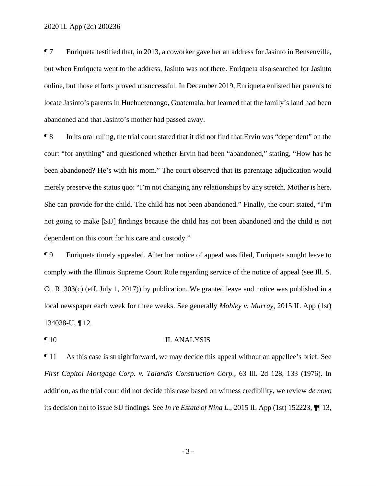¶ 7 Enriqueta testified that, in 2013, a coworker gave her an address for Jasinto in Bensenville, but when Enriqueta went to the address, Jasinto was not there. Enriqueta also searched for Jasinto online, but those efforts proved unsuccessful. In December 2019, Enriqueta enlisted her parents to locate Jasinto's parents in Huehuetenango, Guatemala, but learned that the family's land had been abandoned and that Jasinto's mother had passed away.

 ¶ 8 In its oral ruling, the trial court stated that it did not find that Ervin was "dependent" on the court "for anything" and questioned whether Ervin had been "abandoned," stating, "How has he been abandoned? He's with his mom." The court observed that its parentage adjudication would merely preserve the status quo: "I'm not changing any relationships by any stretch. Mother is here. She can provide for the child. The child has not been abandoned." Finally, the court stated, "I'm not going to make [SIJ] findings because the child has not been abandoned and the child is not dependent on this court for his care and custody."

 ¶ 9 Enriqueta timely appealed. After her notice of appeal was filed, Enriqueta sought leave to comply with the Illinois Supreme Court Rule regarding service of the notice of appeal (see Ill. S. Ct. R. 303(c) (eff. July 1, 2017)) by publication. We granted leave and notice was published in a local newspaper each week for three weeks. See generally *Mobley v. Murray*, 2015 IL App (1st) 134038-U, ¶ 12.

#### ¶ 10 II. ANALYSIS

¶ 11 As this case is straightforward, we may decide this appeal without an appellee's brief. See *First Capitol Mortgage Corp. v. Talandis Construction Corp.*, 63 Ill. 2d 128, 133 (1976). In addition, as the trial court did not decide this case based on witness credibility, we review *de novo*  its decision not to issue SIJ findings. See *In re Estate of Nina L.*, 2015 IL App (1st) 152223, ¶¶ 13,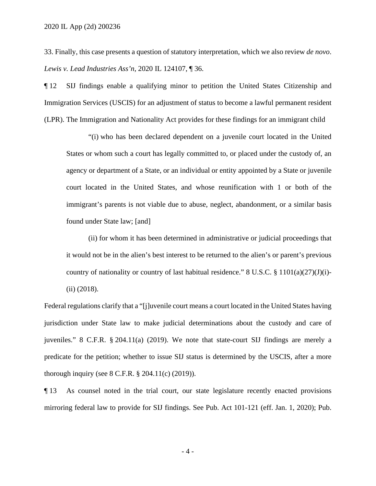33. Finally, this case presents a question of statutory interpretation, which we also review *de novo*. *Lewis v. Lead Industries Ass'n*, 2020 IL 124107, ¶ 36.

¶ 12 SIJ findings enable a qualifying minor to petition the United States Citizenship and Immigration Services (USCIS) for an adjustment of status to become a lawful permanent resident (LPR). The Immigration and Nationality Act provides for these findings for an immigrant child

"(i) who has been declared dependent on a juvenile court located in the United States or whom such a court has legally committed to, or placed under the custody of, an agency or department of a State, or an individual or entity appointed by a State or juvenile court located in the United States, and whose reunification with 1 or both of the immigrant's parents is not viable due to abuse, neglect, abandonment, or a similar basis found under State law; [and]

(ii) for whom it has been determined in administrative or judicial proceedings that it would not be in the alien's best interest to be returned to the alien's or parent's previous country of nationality or country of last habitual residence."  $8 \text{ U.S.C. } \frac{8}{9} \frac{1101(a)(27)(J)(i)}{2}$ (ii) (2018).

Federal regulations clarify that a "[j]uvenile court means a court located in the United States having jurisdiction under State law to make judicial determinations about the custody and care of juveniles." 8 C.F.R. § 204.11(a) (2019). We note that state-court SIJ findings are merely a predicate for the petition; whether to issue SIJ status is determined by the USCIS, after a more thorough inquiry (see 8 C.F.R. § 204.11(c) (2019)).

¶ 13 As counsel noted in the trial court, our state legislature recently enacted provisions mirroring federal law to provide for SIJ findings. See Pub. Act 101-121 (eff. Jan. 1, 2020); Pub.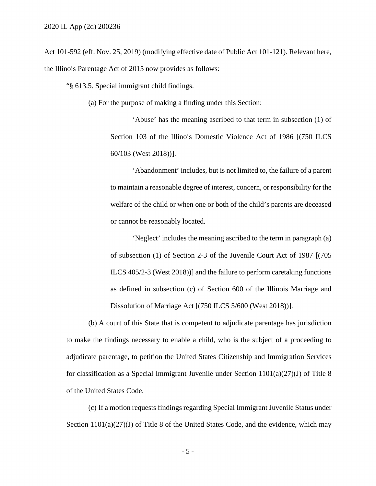Act 101-592 (eff. Nov. 25, 2019) (modifying effective date of Public Act 101-121). Relevant here, the Illinois Parentage Act of 2015 now provides as follows:

"§ 613.5. Special immigrant child findings.

(a) For the purpose of making a finding under this Section:

 'Abuse' has the meaning ascribed to that term in subsection (1) of Section 103 of the Illinois Domestic Violence Act of 1986 [(750 ILCS 60/103 (West 2018))].

'Abandonment' includes, but is not limited to, the failure of a parent to maintain a reasonable degree of interest, concern, or responsibility for the welfare of the child or when one or both of the child's parents are deceased or cannot be reasonably located.

 of subsection (1) of Section 2-3 of the Juvenile Court Act of 1987 [(705 'Neglect' includes the meaning ascribed to the term in paragraph (a) ILCS 405/2-3 (West 2018))] and the failure to perform caretaking functions as defined in subsection (c) of Section 600 of the Illinois Marriage and Dissolution of Marriage Act [(750 ILCS 5/600 (West 2018))].

(b) A court of this State that is competent to adjudicate parentage has jurisdiction to make the findings necessary to enable a child, who is the subject of a proceeding to adjudicate parentage, to petition the United States Citizenship and Immigration Services for classification as a Special Immigrant Juvenile under Section  $1101(a)(27)(J)$  of Title 8 of the United States Code.

(c) If a motion requests findings regarding Special Immigrant Juvenile Status under Section 1101(a)(27)(J) of Title 8 of the United States Code, and the evidence, which may

- 5 -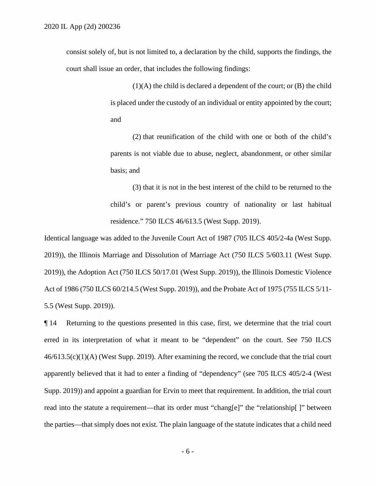consist solely of, but is not limited to, a declaration by the child, supports the findings, the court shall issue an order, that includes the following findings:

> (1)(A) the child is declared a dependent of the court; or (B) the child is placed under the custody of an individual or entity appointed by the court; and

> (2) that reunification of the child with one or both of the child's parents is not viable due to abuse, neglect, abandonment, or other similar basis; and

> (3) that it is not in the best interest of the child to be returned to the child's or parent's previous country of nationality or last habitual residence." 750 ILCS 46/613.5 (West Supp. 2019).

Identical language was added to the Juvenile Court Act of 1987 (705 ILCS 405/2-4a (West Supp. 2019)), the Illinois Marriage and Dissolution of Marriage Act (750 ILCS [5/603.11](https://5/603.11) (West Supp. 2019)), the Adoption Act (750 ILCS [50/17.01](https://50/17.01) (West Supp. 2019)), the Illinois Domestic Violence Act of 1986 (750 ILCS 60/214.5 (West Supp. 2019)), and the Probate Act of 1975 (755 ILCS 5/11- 5.5 (West Supp. 2019)).

¶ 14 Returning to the questions presented in this case, first, we determine that the trial court erred in its interpretation of what it meant to be "dependent" on the court. See 750 ILCS 46/613.5(c)(1)(A) (West Supp. 2019). After examining the record, we conclude that the trial court apparently believed that it had to enter a finding of "dependency" (see 705 ILCS 405/2-4 (West Supp. 2019)) and appoint a guardian for Ervin to meet that requirement. In addition, the trial court read into the statute a requirement—that its order must "chang[e]" the "relationship[]" between the parties—that simply does not exist. The plain language of the statute indicates that a child need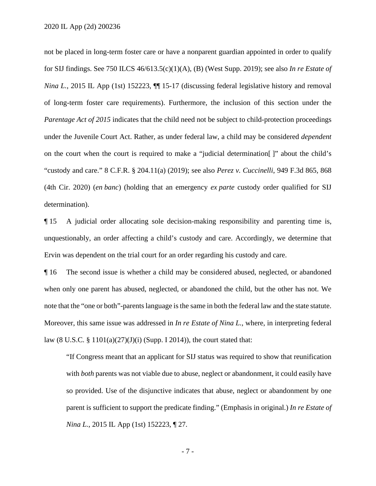for SIJ findings. See 750 ILCS 46/613.5(c)(1)(A), (B) (West Supp. 2019); see also *In re Estate of*  not be placed in long-term foster care or have a nonparent guardian appointed in order to qualify *Nina L.*, 2015 IL App (1st) 152223,  $\P$  15-17 (discussing federal legislative history and removal of long-term foster care requirements). Furthermore, the inclusion of this section under the *Parentage Act of 2015* indicates that the child need not be subject to child-protection proceedings under the Juvenile Court Act. Rather, as under federal law, a child may be considered *dependent*  on the court when the court is required to make a "judicial determination[ ]" about the child's "custody and care." 8 C.F.R. § 204.11(a) (2019); see also *Perez v. Cuccinelli*, 949 F.3d 865, 868 (4th Cir. 2020) (*en banc*) (holding that an emergency *ex parte* custody order qualified for SIJ determination).

¶ 15 A judicial order allocating sole decision-making responsibility and parenting time is, unquestionably, an order affecting a child's custody and care. Accordingly, we determine that Ervin was dependent on the trial court for an order regarding his custody and care.

¶ 16 The second issue is whether a child may be considered abused, neglected, or abandoned when only one parent has abused, neglected, or abandoned the child, but the other has not. We note that the "one or both"-parents language is the same in both the federal law and the state statute. Moreover, this same issue was addressed in *In re Estate of Nina L.*, where, in interpreting federal law (8 U.S.C. § 1101(a)(27)(J)(i) (Supp. I 2014)), the court stated that:

 parent is sufficient to support the predicate finding." (Emphasis in original.) *In re Estate of*  "If Congress meant that an applicant for SIJ status was required to show that reunification with *both* parents was not viable due to abuse, neglect or abandonment, it could easily have so provided. Use of the disjunctive indicates that abuse, neglect or abandonment by one *Nina L.*, 2015 IL App (1st) 152223,  $\P$  27.

- 7 -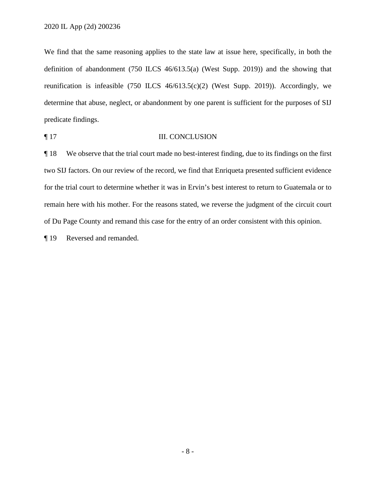We find that the same reasoning applies to the state law at issue here, specifically, in both the definition of abandonment (750 ILCS 46/613.5(a) (West Supp. 2019)) and the showing that reunification is infeasible (750 ILCS 46/613.5(c)(2) (West Supp. 2019)). Accordingly, we determine that abuse, neglect, or abandonment by one parent is sufficient for the purposes of SIJ predicate findings.

¶ 17 III. CONCLUSION

 two SIJ factors. On our review of the record, we find that Enriqueta presented sufficient evidence ¶ 18 We observe that the trial court made no best-interest finding, due to its findings on the first for the trial court to determine whether it was in Ervin's best interest to return to Guatemala or to remain here with his mother. For the reasons stated, we reverse the judgment of the circuit court of Du Page County and remand this case for the entry of an order consistent with this opinion.

¶ 19 Reversed and remanded.